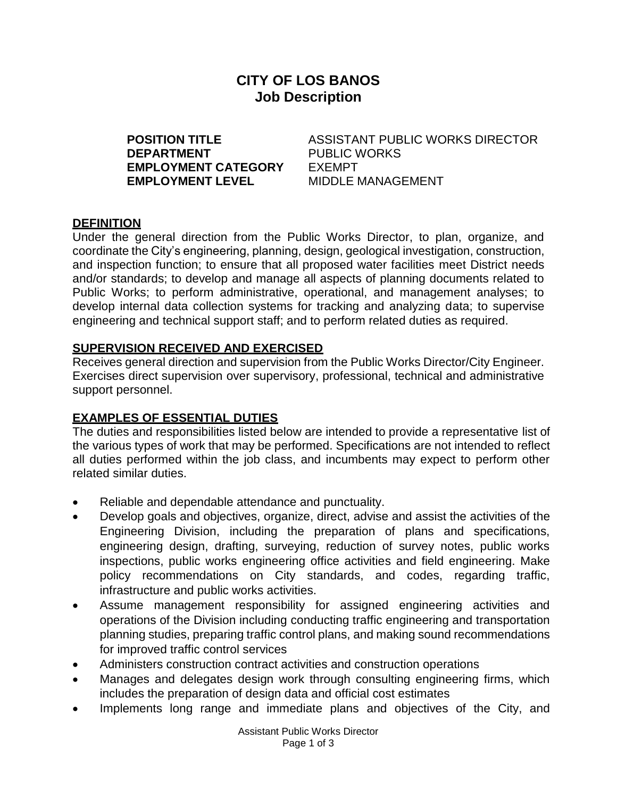# **CITY OF LOS BANOS Job Description**

**DEPARTMENT** PUBLIC WORKS **EMPLOYMENT CATEGORY** EXEMPT **EMPLOYMENT LEVEL** MIDDLE MANAGEMENT

**POSITION TITLE** ASSISTANT PUBLIC WORKS DIRECTOR

#### **DEFINITION**

Under the general direction from the Public Works Director, to plan, organize, and coordinate the City's engineering, planning, design, geological investigation, construction, and inspection function; to ensure that all proposed water facilities meet District needs and/or standards; to develop and manage all aspects of planning documents related to Public Works; to perform administrative, operational, and management analyses; to develop internal data collection systems for tracking and analyzing data; to supervise engineering and technical support staff; and to perform related duties as required.

#### **SUPERVISION RECEIVED AND EXERCISED**

Receives general direction and supervision from the Public Works Director/City Engineer. Exercises direct supervision over supervisory, professional, technical and administrative support personnel.

### **EXAMPLES OF ESSENTIAL DUTIES**

The duties and responsibilities listed below are intended to provide a representative list of the various types of work that may be performed. Specifications are not intended to reflect all duties performed within the job class, and incumbents may expect to perform other related similar duties.

- Reliable and dependable attendance and punctuality.
- Develop goals and objectives, organize, direct, advise and assist the activities of the Engineering Division, including the preparation of plans and specifications, engineering design, drafting, surveying, reduction of survey notes, public works inspections, public works engineering office activities and field engineering. Make policy recommendations on City standards, and codes, regarding traffic, infrastructure and public works activities.
- Assume management responsibility for assigned engineering activities and operations of the Division including conducting traffic engineering and transportation planning studies, preparing traffic control plans, and making sound recommendations for improved traffic control services
- Administers construction contract activities and construction operations
- Manages and delegates design work through consulting engineering firms, which includes the preparation of design data and official cost estimates
- Implements long range and immediate plans and objectives of the City, and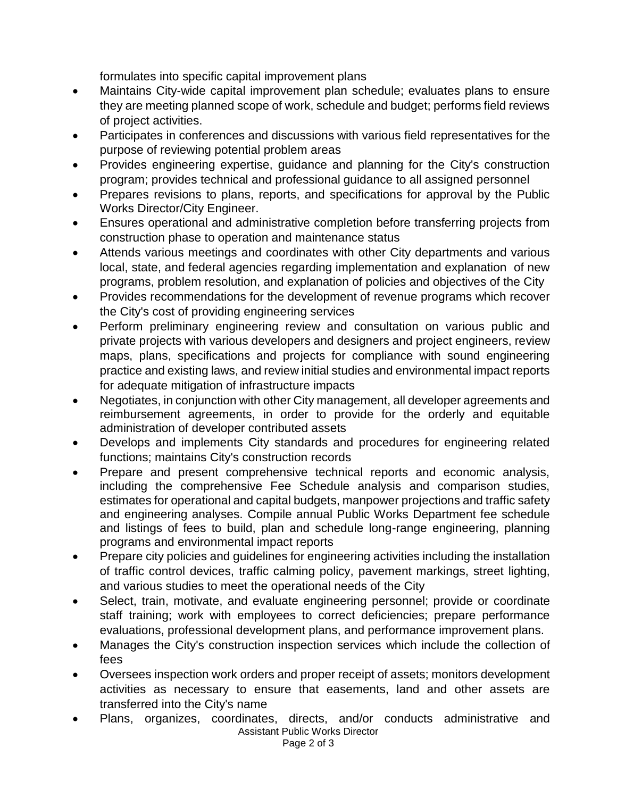formulates into specific capital improvement plans

- Maintains City-wide capital improvement plan schedule; evaluates plans to ensure they are meeting planned scope of work, schedule and budget; performs field reviews of project activities.
- Participates in conferences and discussions with various field representatives for the purpose of reviewing potential problem areas
- Provides engineering expertise, guidance and planning for the City's construction program; provides technical and professional guidance to all assigned personnel
- Prepares revisions to plans, reports, and specifications for approval by the Public Works Director/City Engineer.
- Ensures operational and administrative completion before transferring projects from construction phase to operation and maintenance status
- Attends various meetings and coordinates with other City departments and various local, state, and federal agencies regarding implementation and explanation of new programs, problem resolution, and explanation of policies and objectives of the City
- Provides recommendations for the development of revenue programs which recover the City's cost of providing engineering services
- Perform preliminary engineering review and consultation on various public and private projects with various developers and designers and project engineers, review maps, plans, specifications and projects for compliance with sound engineering practice and existing laws, and review initial studies and environmental impact reports for adequate mitigation of infrastructure impacts
- Negotiates, in conjunction with other City management, all developer agreements and reimbursement agreements, in order to provide for the orderly and equitable administration of developer contributed assets
- Develops and implements City standards and procedures for engineering related functions; maintains City's construction records
- Prepare and present comprehensive technical reports and economic analysis, including the comprehensive Fee Schedule analysis and comparison studies, estimates for operational and capital budgets, manpower projections and traffic safety and engineering analyses. Compile annual Public Works Department fee schedule and listings of fees to build, plan and schedule long-range engineering, planning programs and environmental impact reports
- Prepare city policies and guidelines for engineering activities including the installation of traffic control devices, traffic calming policy, pavement markings, street lighting, and various studies to meet the operational needs of the City
- Select, train, motivate, and evaluate engineering personnel; provide or coordinate staff training; work with employees to correct deficiencies; prepare performance evaluations, professional development plans, and performance improvement plans.
- Manages the City's construction inspection services which include the collection of fees
- Oversees inspection work orders and proper receipt of assets; monitors development activities as necessary to ensure that easements, land and other assets are transferred into the City's name
- Assistant Public Works Director Page 2 of 3 Plans, organizes, coordinates, directs, and/or conducts administrative and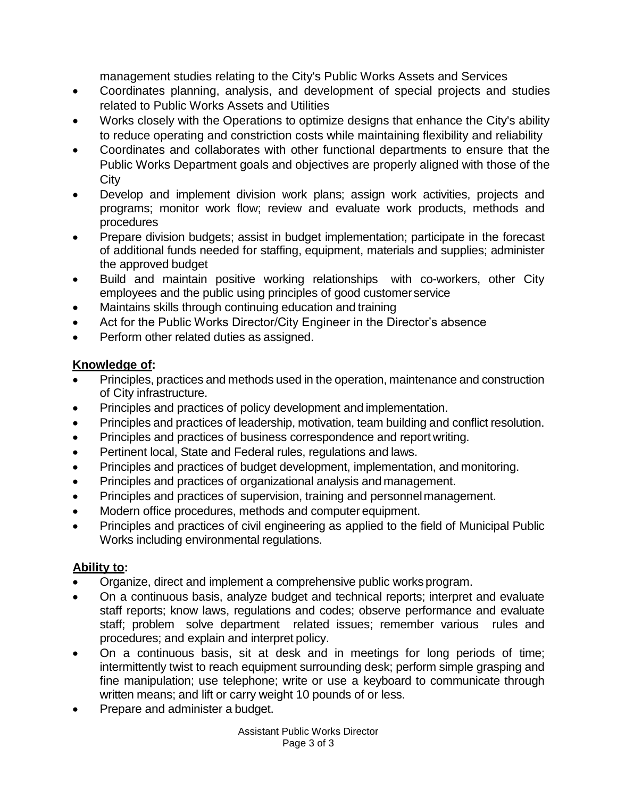management studies relating to the City's Public Works Assets and Services

- Coordinates planning, analysis, and development of special projects and studies related to Public Works Assets and Utilities
- Works closely with the Operations to optimize designs that enhance the City's ability to reduce operating and constriction costs while maintaining flexibility and reliability
- Coordinates and collaborates with other functional departments to ensure that the Public Works Department goals and objectives are properly aligned with those of the **City**
- Develop and implement division work plans; assign work activities, projects and programs; monitor work flow; review and evaluate work products, methods and procedures
- Prepare division budgets; assist in budget implementation; participate in the forecast of additional funds needed for staffing, equipment, materials and supplies; administer the approved budget
- Build and maintain positive working relationships with co-workers, other City employees and the public using principles of good customerservice
- Maintains skills through continuing education and training
- Act for the Public Works Director/City Engineer in the Director's absence
- Perform other related duties as assigned.

# **Knowledge of:**

- Principles, practices and methods used in the operation, maintenance and construction of City infrastructure.
- Principles and practices of policy development and implementation.
- Principles and practices of leadership, motivation, team building and conflict resolution.
- Principles and practices of business correspondence and report writing.
- Pertinent local, State and Federal rules, regulations and laws.
- Principles and practices of budget development, implementation, and monitoring.
- Principles and practices of organizational analysis and management.
- Principles and practices of supervision, training and personnel management.
- Modern office procedures, methods and computer equipment.
- Principles and practices of civil engineering as applied to the field of Municipal Public Works including environmental regulations.

## **Ability to:**

- Organize, direct and implement a comprehensive public works program.
- On a continuous basis, analyze budget and technical reports; interpret and evaluate staff reports; know laws, regulations and codes; observe performance and evaluate staff; problem solve department related issues; remember various rules and procedures; and explain and interpret policy.
- On a continuous basis, sit at desk and in meetings for long periods of time; intermittently twist to reach equipment surrounding desk; perform simple grasping and fine manipulation; use telephone; write or use a keyboard to communicate through written means; and lift or carry weight 10 pounds of or less.
- Prepare and administer a budget.